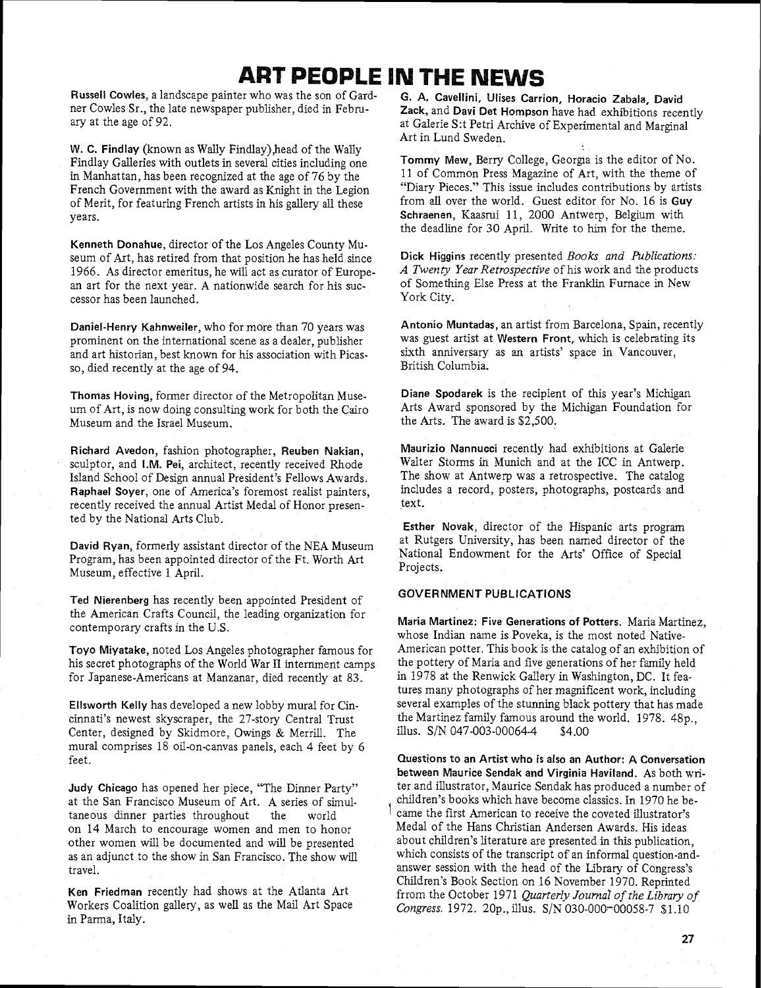## **ART PEOPLE IN THE NEWS**

**Russell Cowles,** a landscape painter who was the son of Gardner Cowles Sr., the late newspaper publisher, died in February at the age of 92.

**W. C. Findlay** (known as Wally Findlay),head of the Wally Findlay Galleries with outlets in several cities including one in Manhattan, has been recognized at the age of 76 by the French Government with the award as Knight in the Legion of Merit, for featuring French artists in his gallery **all** these years.

**Kenneth Donahue,** director of the Los Angeles County Museum of Art, has retired from that position he has held since 1966. As director emeritus, he will act as curator of European art for the next year. A nationwide search for his successor has been launched.

**Daniel-Henry Kahnweiler,** who for more than 70 years was prominent on the international scene as a dealer, publisher and art historian, best known for his association with Picasso, died recently at the age of 94.

**Thomas Hoving,** former director of the Metropolitan Museum of Art, is now doing consulting work for both the Cairo Museum and the Israel Museum.

**Richard Avedon,** fashion photographer, **Reuben Nakian,**  sculptor, and I.M. **Pei,** architect, recently received Rhode Island School of Design annual President's Fellows Awards. **Raphael Soyer,** one of America's foremost realist painters, recently received the annual Artist Medal of Honor presented by the National Arts Club.

**David Ryan,** formerly assistant director of the NEA Museum Program, has been appointed director of the Ft. Worth Art Museum, effective 1 April.

**Ted Nierenberg** has recently been appointed President of the American Crafts Council, the leading organization for contemporary crafts in the U.S.

**Toyo Miyatake,** noted Los Angeles photographer famous for his secret photographs of the World War **I1** internment camps for Japanese-Americans at Manzanar, died recently at 83.

**Ellsworth Kelly** has developed a new lobby mural for Cincinnati's newest skyscraper, the 27-story Central Trust Center, designed by Skidmore, Owings & Merrill. The mural comprises 18 oil-on-canvas panels, each 4 feet by 6 feet.

**Judy Chicago** has opened her piece, "The Dinner Party" at the San Francisco Museum of Art. A series of simultaneous dinner parties throughout the world on 14 March to encourage women and men to honor other women will be documented and will be presented as an adjunct to the show in San Francisco. The show will travel.

**Ken Friedman** recently had shows at the Atlanta Art Workers Coalition gallery, as well as the Mail Art Space in Parma, Italy.

G. A. Cavellini, Ulises Carrion, Horacio Zabala, David **Zack,** and **Davi Det Hompson** have had exhibitions recently at Galerie S:t Petri Archive of Experimental and Marginal Art in Lund Sweden.

Tommy Mew, Berry College, Georgia is the editor of No. 11 of Common Press Magazine of Art, with the theme of "Diary Pieces." This issue includes contributions by artists from all over the world. Guest editor for No. 16 is **Guy Schraenen,** Kaasrui 11, 2000 Antwerp, Belgium with the deadline for 30 April. Write to him for the theme.

**Dick Higgins** recently presented *Books and Publications: A Twenty Year Retrospective* of his work and the products of Something Else Press at the Franklin Furnace in New York City.

**Antonio Muntadas,** an artist from Barcelona, Spain, recently was guest artist at **Western Front,** which is celebrating its sixth anniversary as an artists' space in Vancouver, British Columbia.

**Diane Spodarek** is the recipient of this year's Michigan Arts Award sponsored by the Michigan Foundation for the Arts. The award is \$2,500.

**Maurizio Nannucci** recently had exhibitions at Galerie Walter Storms in Munich and at the ICC in Antwerp. The show at Antwerp was a retrospective. The catalog includes a record, posters, photographs, postcards and text.

**Esther Novak,** director of the Hispanic arts program at Rutgers University, has been named director of the National Endowment for the Arts' Office of Special Projects.

## **GOVERNMENT PUBLICATIONS**

**Maria Martinez: Five Generations of Potters.** Maria Martinez, whose Indian name is Poveka, is the most noted Native-American potter. This book is the catalog of an exhibition of the pottery of Maria and five generations of her family held in 1978 at the Renwick Gallery in Washington, DC. It features many photographs of her magnificent work, including several examples of the stunning black pottery that has made the Martinez family famous around the world. 1978. 48p., illus.  $S/N$  047-003-00064-4 \$4.00

**Questions to an Artist who is also an Author: A Conversation between Maurice Sendak and Virginia Haviiand.** As both writer and illustrator, Maurice Sendak has produced a number of children's books which have become classics. In 1970 he became the first American to receive the coveted illustrator's Medal of the Hans Christian Andersen Awards. His ideas about children's literature are presented in this publication, which consists of the transcript of an informal question-andanswer session with the head of the Library of Congress's Children's Book Section on 16 November 1970. Reprinted frrom the October 1971 *Quarterly Journal of the Library of Congress.* 1972. 20p., illus. S/N 030-000-00058-7 \$1.10